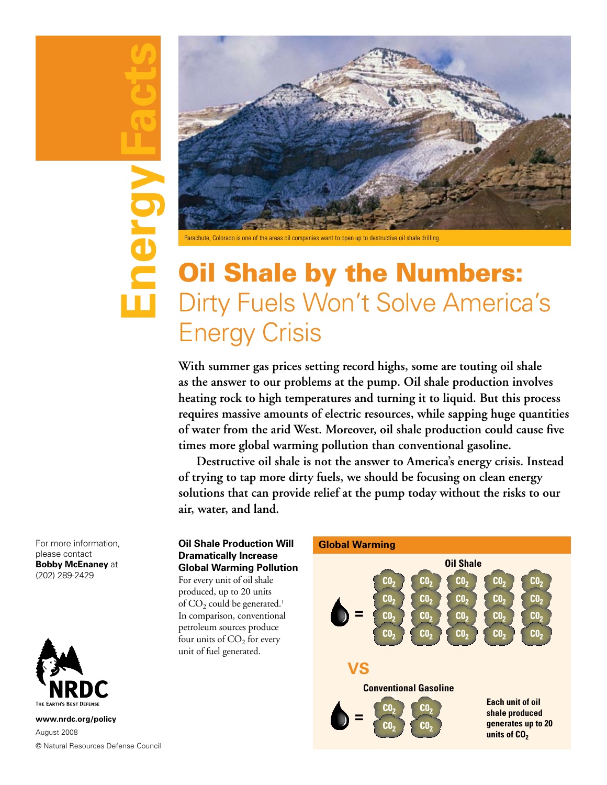# For more information,<br>please contact<br>**Bobby McEnaney** at<br>(202) 289-2429<br>**NRDC**<br>www.nrdc.org/policy<br>
® Natural Resources Defense Council Energy



Parachute, Colorado is one of the areas oil companies want to open up to destructive oil shale drilling

# Oil Shale by the Numbers: Dirty Fuels Won't Solve America's Energy Crisis

**With summer gas prices setting record highs, some are touting oil shale as the answer to our problems at the pump. Oil shale production involves heating rock to high temperatures and turning it to liquid. But this process requires massive amounts of electric resources, while sapping huge quantities of water from the arid West. Moreover, oil shale production could cause five times more global warming pollution than conventional gasoline.** 

**Destructive oil shale is not the answer to America's energy crisis. Instead of trying to tap more dirty fuels, we should be focusing on clean energy solutions that can provide relief at the pump today without the risks to our air, water, and land.** 

For more information, please contact **Bobby McEnaney** at (202) 289-2429



**www.nrdc.org/policy** August 2008 © Natural Resources Defense Council

### **Oil Shale Production Will Dramatically Increase Global Warming Pollution**

For every unit of oil shale produced, up to 20 units of  $CO<sub>2</sub>$  could be generated.<sup>1</sup> In comparison, conventional petroleum sources produce four units of  $CO<sub>2</sub>$  for every unit of fuel generated.